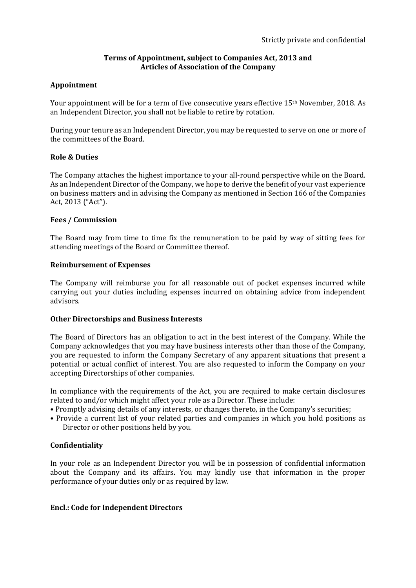## **Terms of Appointment, subject to Companies Act, 2013 and Articles of Association of the Company**

## **Appointment**

Your appointment will be for a term of five consecutive years effective 15<sup>th</sup> November, 2018. As an Independent Director, you shall not be liable to retire by rotation.

During your tenure as an Independent Director, you may be requested to serve on one or more of the committees of the Board.

### **Role & Duties**

The Company attaches the highest importance to your all-round perspective while on the Board. As an Independent Director of the Company, we hope to derive the benefit of your vast experience on business matters and in advising the Company as mentioned in Section 166 of the Companies Act, 2013 ("Act").

## **Fees / Commission**

The Board may from time to time fix the remuneration to be paid by way of sitting fees for attending meetings of the Board or Committee thereof.

### **Reimbursement of Expenses**

The Company will reimburse you for all reasonable out of pocket expenses incurred while carrying out your duties including expenses incurred on obtaining advice from independent advisors.

### **Other Directorships and Business Interests**

The Board of Directors has an obligation to act in the best interest of the Company. While the Company acknowledges that you may have business interests other than those of the Company, you are requested to inform the Company Secretary of any apparent situations that present a potential or actual conflict of interest. You are also requested to inform the Company on your accepting Directorships of other companies.

In compliance with the requirements of the Act, you are required to make certain disclosures related to and/or which might affect your role as a Director. These include:

- Promptly advising details of any interests, or changes thereto, in the Company's securities;
- Provide a current list of your related parties and companies in which you hold positions as Director or other positions held by you.

## **Confidentiality**

In your role as an Independent Director you will be in possession of confidential information about the Company and its affairs. You may kindly use that information in the proper performance of your duties only or as required by law.

### **Encl.: Code for Independent Directors**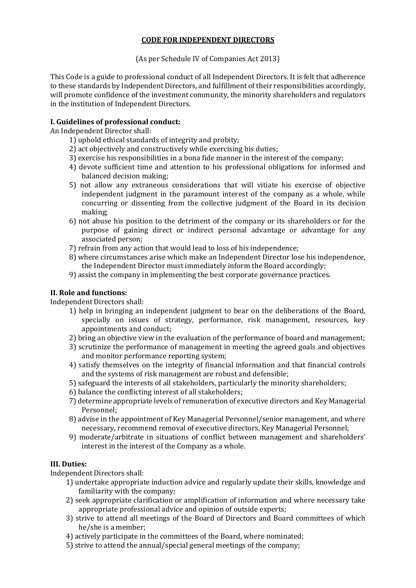# **CODE FOR INDEPENDENT DIRECTORS**

(As per Schedule IV of Companies Act 2013)

This Code is a guide to professional conduct of all Independent Directors. It is felt that adherence to these standards by Independent Directors, and fulfillment of their responsibilities accordingly, will promote confidence of the investment community, the minority shareholders and regulators in the institution of Independent Directors.

# **I. Guidelines of professional conduct:**

An Independent Director shall:

- 1) uphold ethical standards of integrity and probity;
- 2) act objectively and constructively while exercising his duties;
- 3) exercise his responsibilities in a bona fide manner in the interest of the company;
- 4) devote sufficient time and attention to his professional obligations for informed and balanced decision making;
- 5) not allow any extraneous considerations that will vitiate his exercise of objective independent judgment in the paramount interest of the company as a whole, while concurring or dissenting from the collective judgment of the Board in its decision making;
- 6) not abuse his position to the detriment of the company or its shareholders or for the purpose of gaining direct or indirect personal advantage or advantage for any associated person;
- 7) refrain from any action that would lead to loss of his independence;
- 8) where circumstances arise which make an Independent Director lose his independence, the Independent Director must immediately inform the Board accordingly;
- 9) assist the company in implementing the best corporate governance practices.

# **II. Role and functions:**

Independent Directors shall:

- 1) help in bringing an independent judgment to bear on the deliberations of the Board, specially on issues of strategy, performance, risk management, resources, key appointments and conduct;
- 2) bring an objective view in the evaluation of the performance of board and management;
- 3) scrutinize the performance of management in meeting the agreed goals and objectives and monitor performance reporting system;
- 4) satisfy themselves on the integrity of financial information and that financial controls and the systems of risk management are robust and defensible;
- 5) safeguard the interests of all stakeholders, particularly the minority shareholders;
- 6) balance the conflicting interest of all stakeholders;
- 7) determine appropriate levels of remuneration of executive directors and Key Managerial Personnel;
- 8) advise in the appointment of Key Managerial Personnel/senior management, and where necessary, recommend removal of executive directors, Key Managerial Personnel;
- 9) moderate/arbitrate in situations of conflict between management and shareholders' interest in the interest of the Company as a whole.

## **III. Duties:**

Independent Directors shall:

- 1) undertake appropriate induction advice and regularly update their skills, knowledge and familiarity with the company;
- 2) seek appropriate clarification or amplification of information and where necessary take appropriate professional advice and opinion of outside experts;
- 3) strive to attend all meetings of the Board of Directors and Board committees of which he/she is a member;
- 4) actively participate in the committees of the Board, where nominated;
- 5) strive to attend the annual/special general meetings of the company;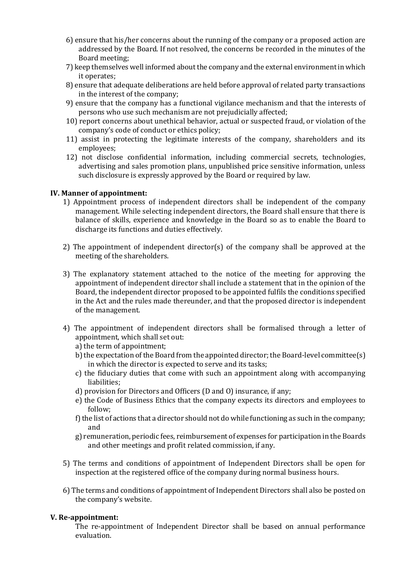- 6) ensure that his/her concerns about the running of the company or a proposed action are addressed by the Board. If not resolved, the concerns be recorded in the minutes of the Board meeting;
- 7) keep themselves well informed about the company and the external environment in which it operates;
- 8) ensure that adequate deliberations are held before approval of related party transactions in the interest of the company;
- 9) ensure that the company has a functional vigilance mechanism and that the interests of persons who use such mechanism are not prejudicially affected;
- 10) report concerns about unethical behavior, actual or suspected fraud, or violation of the company's code of conduct or ethics policy;
- 11) assist in protecting the legitimate interests of the company, shareholders and its employees;
- 12) not disclose confidential information, including commercial secrets, technologies, advertising and sales promotion plans, unpublished price sensitive information, unless such disclosure is expressly approved by the Board or required by law.

## **IV. Manner of appointment:**

- 1) Appointment process of independent directors shall be independent of the company management. While selecting independent directors, the Board shall ensure that there is balance of skills, experience and knowledge in the Board so as to enable the Board to discharge its functions and duties effectively.
- 2) The appointment of independent director(s) of the company shall be approved at the meeting of the shareholders.
- 3) The explanatory statement attached to the notice of the meeting for approving the appointment of independent director shall include a statement that in the opinion of the Board, the independent director proposed to be appointed fulfils the conditions specified in the Act and the rules made thereunder, and that the proposed director is independent of the management.
- 4) The appointment of independent directors shall be formalised through a letter of appointment, which shall set out:
	- a) the term of appointment;
	- b) the expectation of the Board from the appointed director; the Board-level committee(s) in which the director is expected to serve and its tasks;
	- c) the fiduciary duties that come with such an appointment along with accompanying liabilities;
	- d) provision for Directors and Officers (D and O) insurance, if any;
	- e) the Code of Business Ethics that the company expects its directors and employees to follow;
	- f) the list of actions that a director should not do while functioning as such in the company; and
	- g) remuneration, periodic fees, reimbursement of expenses for participation in the Boards and other meetings and profit related commission, if any.
- 5) The terms and conditions of appointment of Independent Directors shall be open for inspection at the registered office of the company during normal business hours.
- 6) The terms and conditions of appointment of Independent Directors shall also be posted on the company's website.

### **V. Re-appointment:**

The re-appointment of Independent Director shall be based on annual performance evaluation.